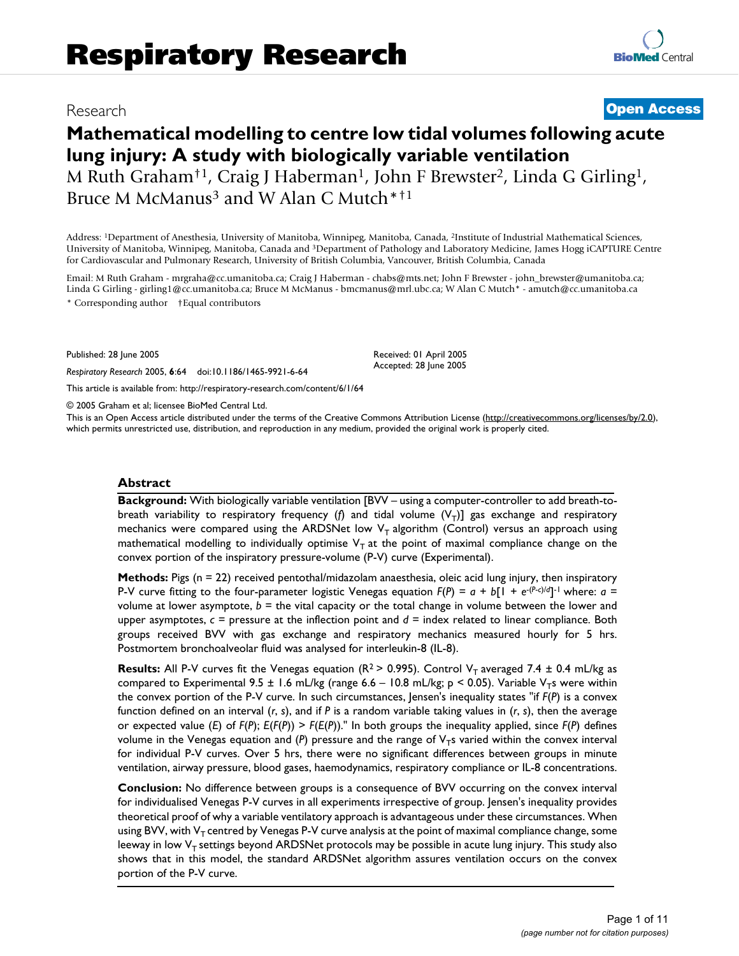# Research **[Open Access](http://www.biomedcentral.com/info/about/charter/)**

# **Mathematical modelling to centre low tidal volumes following acute lung injury: A study with biologically variable ventilation** M Ruth Graham<sup>†1</sup>, Craig J Haberman<sup>1</sup>, John F Brewster<sup>2</sup>, Linda G Girling<sup>1</sup>, Bruce M McManus<sup>3</sup> and W Alan C Mutch<sup>\*†1</sup>

Address: 1Department of Anesthesia, University of Manitoba, Winnipeg, Manitoba, Canada, 2Institute of Industrial Mathematical Sciences, University of Manitoba, Winnipeg, Manitoba, Canada and 3Department of Pathology and Laboratory Medicine, James Hogg iCAPTURE Centre for Cardiovascular and Pulmonary Research, University of British Columbia, Vancouver, British Columbia, Canada

Email: M Ruth Graham - mrgraha@cc.umanitoba.ca; Craig J Haberman - chabs@mts.net; John F Brewster - john\_brewster@umanitoba.ca; Linda G Girling - girling1@cc.umanitoba.ca; Bruce M McManus - bmcmanus@mrl.ubc.ca; W Alan C Mutch\* - amutch@cc.umanitoba.ca \* Corresponding author †Equal contributors

Published: 28 June 2005

*Respiratory Research* 2005, **6**:64 doi:10.1186/1465-9921-6-64

Accepted: 28 June 2005

Received: 01 April 2005

[This article is available from: http://respiratory-research.com/content/6/1/64](http://respiratory-research.com/content/6/1/64)

© 2005 Graham et al; licensee BioMed Central Ltd.

This is an Open Access article distributed under the terms of the Creative Commons Attribution License [\(http://creativecommons.org/licenses/by/2.0\)](http://creativecommons.org/licenses/by/2.0), which permits unrestricted use, distribution, and reproduction in any medium, provided the original work is properly cited.

## **Abstract**

**Background:** With biologically variable ventilation [BVV – using a computer-controller to add breath-tobreath variability to respiratory frequency (f) and tidal volume  $(V_T)$ ] gas exchange and respiratory mechanics were compared using the ARDSNet low  $V<sub>T</sub>$  algorithm (Control) versus an approach using mathematical modelling to individually optimise  $V<sub>T</sub>$  at the point of maximal compliance change on the convex portion of the inspiratory pressure-volume (P-V) curve (Experimental).

**Methods:** Pigs (n = 22) received pentothal/midazolam anaesthesia, oleic acid lung injury, then inspiratory P-V curve fitting to the four-parameter logistic Venegas equation  $F(P) = a + b[1 + e^{-(P-\epsilon)/d}]^{-1}$  where:  $a =$ volume at lower asymptote,  $b =$  the vital capacity or the total change in volume between the lower and upper asymptotes, *c* = pressure at the inflection point and *d* = index related to linear compliance. Both groups received BVV with gas exchange and respiratory mechanics measured hourly for 5 hrs. Postmortem bronchoalveolar fluid was analysed for interleukin-8 (IL-8).

**Results:** All P-V curves fit the Venegas equation ( $R^2 > 0.995$ ). Control V<sub>T</sub> averaged 7.4 ± 0.4 mL/kg as compared to Experimental 9.5 ± 1.6 mL/kg (range 6.6 - 10.8 mL/kg; p < 0.05). Variable V<sub>T</sub>s were within the convex portion of the P-V curve. In such circumstances, Jensen's inequality states "if *F*(*P*) is a convex function defined on an interval (*r*, *s*), and if *P* is a random variable taking values in (*r*, *s*), then the average or expected value (*E*) of *F*(*P*); *E*(*F*(*P*)) > *F*(*E*(*P*))." In both groups the inequality applied, since *F*(*P*) defines volume in the Venegas equation and  $(P)$  pressure and the range of  $V<sub>T</sub>$ s varied within the convex interval for individual P-V curves. Over 5 hrs, there were no significant differences between groups in minute ventilation, airway pressure, blood gases, haemodynamics, respiratory compliance or IL-8 concentrations.

**Conclusion:** No difference between groups is a consequence of BVV occurring on the convex interval for individualised Venegas P-V curves in all experiments irrespective of group. Jensen's inequality provides theoretical proof of why a variable ventilatory approach is advantageous under these circumstances. When using BVV, with  $V<sub>T</sub>$  centred by Venegas P-V curve analysis at the point of maximal compliance change, some leeway in low  $V_T$  settings beyond ARDSNet protocols may be possible in acute lung injury. This study also shows that in this model, the standard ARDSNet algorithm assures ventilation occurs on the convex portion of the P-V curve.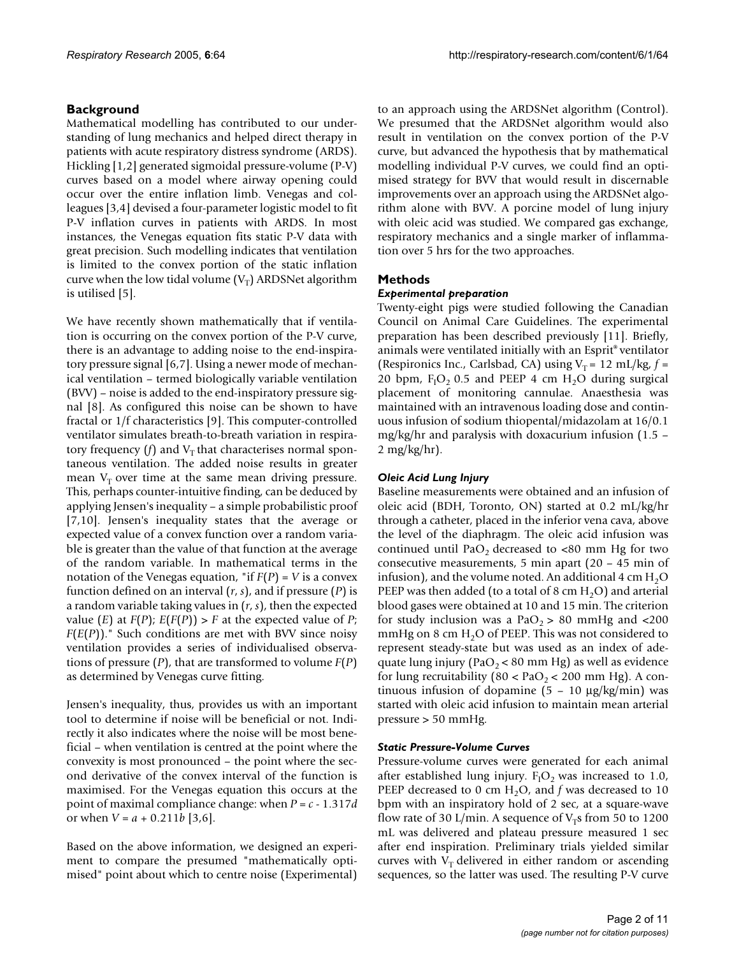# **Background**

Mathematical modelling has contributed to our understanding of lung mechanics and helped direct therapy in patients with acute respiratory distress syndrome (ARDS). Hickling [1,2] generated sigmoidal pressure-volume (P-V) curves based on a model where airway opening could occur over the entire inflation limb. Venegas and colleagues [3,4] devised a four-parameter logistic model to fit P-V inflation curves in patients with ARDS. In most instances, the Venegas equation fits static P-V data with great precision. Such modelling indicates that ventilation is limited to the convex portion of the static inflation curve when the low tidal volume  $(V_T)$  ARDSNet algorithm is utilised [5].

We have recently shown mathematically that if ventilation is occurring on the convex portion of the P-V curve, there is an advantage to adding noise to the end-inspiratory pressure signal [6,7]. Using a newer mode of mechanical ventilation – termed biologically variable ventilation (BVV) – noise is added to the end-inspiratory pressure signal [8]. As configured this noise can be shown to have fractal or 1/f characteristics [9]. This computer-controlled ventilator simulates breath-to-breath variation in respiratory frequency  $(f)$  and  $V_T$  that characterises normal spontaneous ventilation. The added noise results in greater mean  $V_T$  over time at the same mean driving pressure. This, perhaps counter-intuitive finding, can be deduced by applying Jensen's inequality – a simple probabilistic proof [7,10]. Jensen's inequality states that the average or expected value of a convex function over a random variable is greater than the value of that function at the average of the random variable. In mathematical terms in the notation of the Venegas equation, "if  $F(P) = V$  is a convex function defined on an interval (*r*, *s*), and if pressure (*P*) is a random variable taking values in (*r*, *s*), then the expected value  $(E)$  at  $F(P)$ ;  $E(F(P)) > F$  at the expected value of *P*; *F*(*E*(*P*))." Such conditions are met with BVV since noisy ventilation provides a series of individualised observations of pressure (*P*), that are transformed to volume *F*(*P*) as determined by Venegas curve fitting.

Jensen's inequality, thus, provides us with an important tool to determine if noise will be beneficial or not. Indirectly it also indicates where the noise will be most beneficial – when ventilation is centred at the point where the convexity is most pronounced – the point where the second derivative of the convex interval of the function is maximised. For the Venegas equation this occurs at the point of maximal compliance change: when *P* = *c* - 1.317*d* or when *V* = *a* + 0.211*b* [3,6].

Based on the above information, we designed an experiment to compare the presumed "mathematically optimised" point about which to centre noise (Experimental)

to an approach using the ARDSNet algorithm (Control). We presumed that the ARDSNet algorithm would also result in ventilation on the convex portion of the P-V curve, but advanced the hypothesis that by mathematical modelling individual P-V curves, we could find an optimised strategy for BVV that would result in discernable improvements over an approach using the ARDSNet algorithm alone with BVV. A porcine model of lung injury with oleic acid was studied. We compared gas exchange, respiratory mechanics and a single marker of inflammation over 5 hrs for the two approaches.

# **Methods**

## *Experimental preparation*

Twenty-eight pigs were studied following the Canadian Council on Animal Care Guidelines. The experimental preparation has been described previously [11]. Briefly, animals were ventilated initially with an Esprit® ventilator (Respironics Inc., Carlsbad, CA) using  $V_T = 12$  mL/kg,  $f =$ 20 bpm,  $F_1O_2$  0.5 and PEEP 4 cm  $H_2O$  during surgical placement of monitoring cannulae. Anaesthesia was maintained with an intravenous loading dose and continuous infusion of sodium thiopental/midazolam at 16/0.1 mg/kg/hr and paralysis with doxacurium infusion (1.5 –  $2$  mg/kg/hr).

## *Oleic Acid Lung Injury*

Baseline measurements were obtained and an infusion of oleic acid (BDH, Toronto, ON) started at 0.2 mL/kg/hr through a catheter, placed in the inferior vena cava, above the level of the diaphragm. The oleic acid infusion was continued until PaO<sub>2</sub> decreased to <80 mm Hg for two consecutive measurements, 5 min apart (20 – 45 min of infusion), and the volume noted. An additional 4 cm  $H_2O$ PEEP was then added (to a total of 8 cm  $H_2O$ ) and arterial blood gases were obtained at 10 and 15 min. The criterion for study inclusion was a PaO<sub>2</sub> > 80 mmHg and <200 mmHg on 8 cm  $H<sub>2</sub>O$  of PEEP. This was not considered to represent steady-state but was used as an index of adequate lung injury (PaO<sub>2</sub> < 80 mm Hg) as well as evidence for lung recruitability (80 <  $PaO<sub>2</sub>$  < 200 mm Hg). A continuous infusion of dopamine  $(5 - 10 \mu g/kg/min)$  was started with oleic acid infusion to maintain mean arterial pressure > 50 mmHg.

## *Static Pressure-Volume Curves*

Pressure-volume curves were generated for each animal after established lung injury.  $F_1O_2$  was increased to 1.0, PEEP decreased to 0 cm  $H_2O$ , and *f* was decreased to 10 bpm with an inspiratory hold of 2 sec, at a square-wave flow rate of 30 L/min. A sequence of  $V<sub>T</sub>s$  from 50 to 1200 mL was delivered and plateau pressure measured 1 sec after end inspiration. Preliminary trials yielded similar curves with  $V_T$  delivered in either random or ascending sequences, so the latter was used. The resulting P-V curve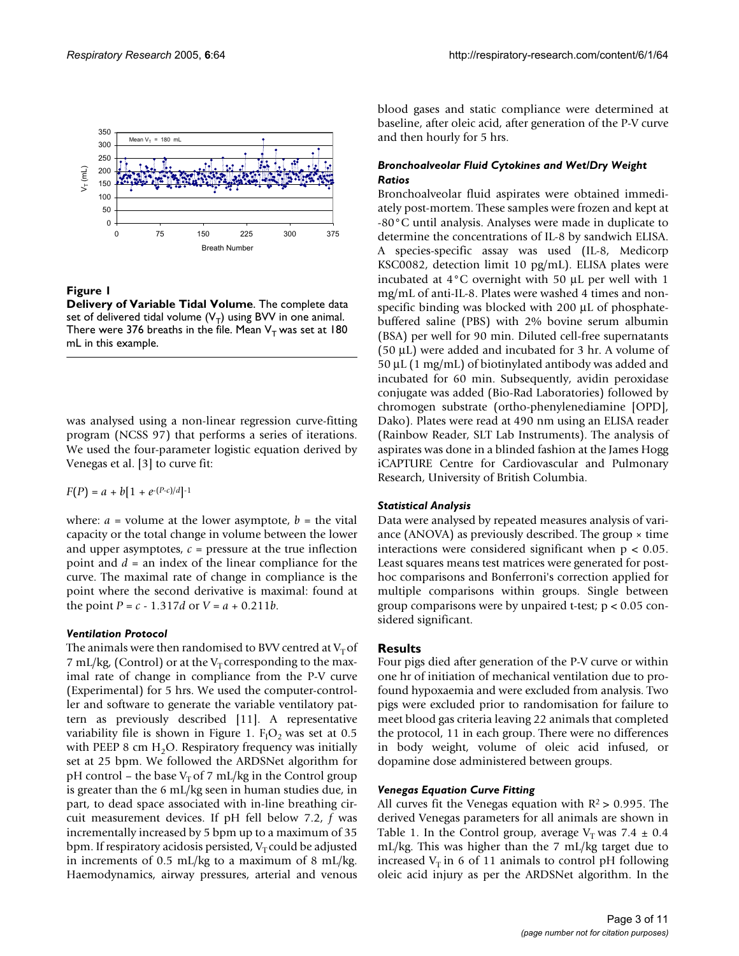

## **Figure 1**

**Delivery of Variable Tidal Volume**. The complete data set of delivered tidal volume  $(V_T)$  using BVV in one animal. There were 376 breaths in the file. Mean  $V<sub>T</sub>$  was set at 180 mL in this example.

was analysed using a non-linear regression curve-fitting program (NCSS 97) that performs a series of iterations. We used the four-parameter logistic equation derived by Venegas et al. [3] to curve fit:

$$
F(P) = a + b[1 + e^{-(P-c)/d}]^{-1}
$$

where:  $a$  = volume at the lower asymptote,  $b$  = the vital capacity or the total change in volume between the lower and upper asymptotes,  $c =$  pressure at the true inflection point and *d* = an index of the linear compliance for the curve. The maximal rate of change in compliance is the point where the second derivative is maximal: found at the point  $P = c - 1.317d$  or  $V = a + 0.211b$ .

## *Ventilation Protocol*

The animals were then randomised to BVV centred at  $V<sub>T</sub>$  of 7 mL/kg, (Control) or at the  $V<sub>T</sub>$  corresponding to the maximal rate of change in compliance from the P-V curve (Experimental) for 5 hrs. We used the computer-controller and software to generate the variable ventilatory pattern as previously described [11]. A representative variability file is shown in Figure 1.  $F_{I}O_{2}$  was set at 0.5 with PEEP 8 cm  $H_2O$ . Respiratory frequency was initially set at 25 bpm. We followed the ARDSNet algorithm for pH control – the base  $V<sub>T</sub>$  of 7 mL/kg in the Control group is greater than the 6 mL/kg seen in human studies due, in part, to dead space associated with in-line breathing circuit measurement devices. If pH fell below 7.2, *f* was incrementally increased by 5 bpm up to a maximum of 35 bpm. If respiratory acidosis persisted,  $V_T$  could be adjusted in increments of 0.5 mL/kg to a maximum of 8 mL/kg. Haemodynamics, airway pressures, arterial and venous blood gases and static compliance were determined at baseline, after oleic acid, after generation of the P-V curve and then hourly for 5 hrs.

## *Bronchoalveolar Fluid Cytokines and Wet/Dry Weight Ratios*

Bronchoalveolar fluid aspirates were obtained immediately post-mortem. These samples were frozen and kept at -80°C until analysis. Analyses were made in duplicate to determine the concentrations of IL-8 by sandwich ELISA. A species-specific assay was used (IL-8, Medicorp KSC0082, detection limit 10 pg/mL). ELISA plates were incubated at 4°C overnight with 50 µL per well with 1 mg/mL of anti-IL-8. Plates were washed 4 times and nonspecific binding was blocked with 200 µL of phosphatebuffered saline (PBS) with 2% bovine serum albumin (BSA) per well for 90 min. Diluted cell-free supernatants (50 µL) were added and incubated for 3 hr. A volume of 50 µL (1 mg/mL) of biotinylated antibody was added and incubated for 60 min. Subsequently, avidin peroxidase conjugate was added (Bio-Rad Laboratories) followed by chromogen substrate (ortho-phenylenediamine [OPD], Dako). Plates were read at 490 nm using an ELISA reader (Rainbow Reader, SLT Lab Instruments). The analysis of aspirates was done in a blinded fashion at the James Hogg iCAPTURE Centre for Cardiovascular and Pulmonary Research, University of British Columbia.

## *Statistical Analysis*

Data were analysed by repeated measures analysis of variance (ANOVA) as previously described. The group  $\times$  time interactions were considered significant when  $p < 0.05$ . Least squares means test matrices were generated for posthoc comparisons and Bonferroni's correction applied for multiple comparisons within groups. Single between group comparisons were by unpaired t-test;  $p < 0.05$  considered significant.

## **Results**

Four pigs died after generation of the P-V curve or within one hr of initiation of mechanical ventilation due to profound hypoxaemia and were excluded from analysis. Two pigs were excluded prior to randomisation for failure to meet blood gas criteria leaving 22 animals that completed the protocol, 11 in each group. There were no differences in body weight, volume of oleic acid infused, or dopamine dose administered between groups.

## *Venegas Equation Curve Fitting*

All curves fit the Venegas equation with  $R^2 > 0.995$ . The derived Venegas parameters for all animals are shown in Table 1. In the Control group, average  $V_T$  was 7.4  $\pm$  0.4 mL/kg. This was higher than the 7 mL/kg target due to increased  $V_T$  in 6 of 11 animals to control pH following oleic acid injury as per the ARDSNet algorithm. In the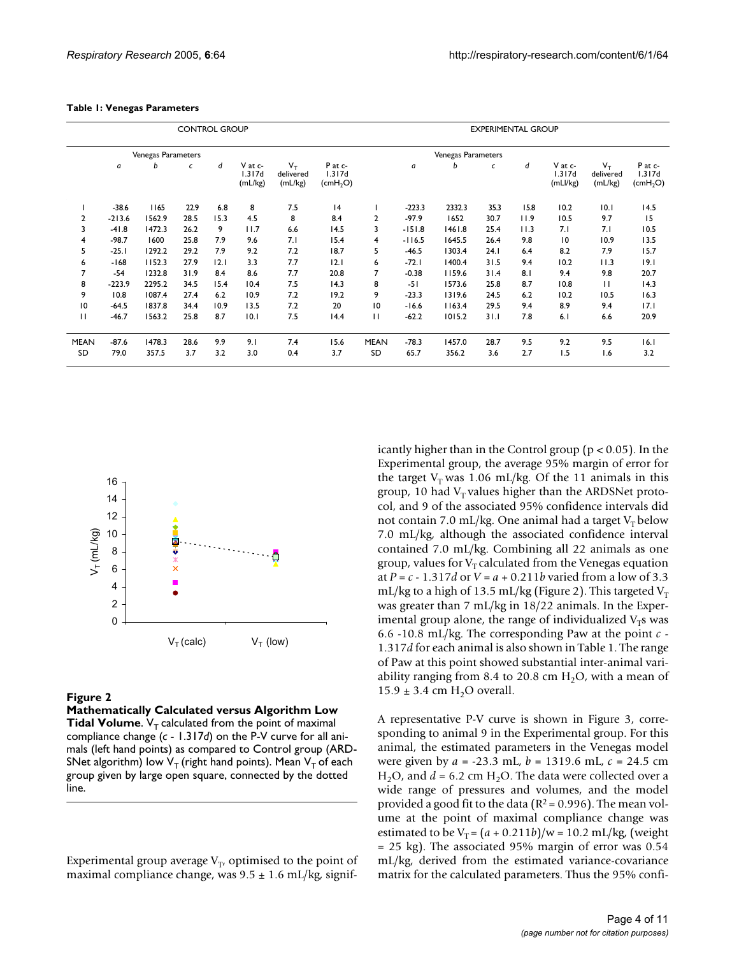#### **Table 1: Venegas Parameters**

|                | <b>CONTROL GROUP</b> |        |            |      |                              |                               |                                           | <b>EXPERIMENTAL GROUP</b> |          |        |      |      |                               |                               |                                           |
|----------------|----------------------|--------|------------|------|------------------------------|-------------------------------|-------------------------------------------|---------------------------|----------|--------|------|------|-------------------------------|-------------------------------|-------------------------------------------|
|                | Venegas Parameters   |        |            |      |                              |                               |                                           | Venegas Parameters        |          |        |      |      |                               |                               |                                           |
|                | a                    | b      | $\epsilon$ | d    | V at c-<br>1.317d<br>(mL/kg) | $V_T$<br>delivered<br>(mL/kg) | P at c-<br>1.317d<br>(cmH <sub>2</sub> O) |                           | a        | ь      | C    | d    | V at c-<br>1.317d<br>(mLl/kg) | $V_T$<br>delivered<br>(mL/kg) | P at c-<br>1.317d<br>(cmH <sub>2</sub> O) |
|                | $-38.6$              | 1165   | 22.9       | 6.8  | 8                            | 7.5                           | 4                                         |                           | $-223.3$ | 2332.3 | 35.3 | 15.8 | 10.2                          | 10.1                          | 14.5                                      |
| $\overline{2}$ | $-213.6$             | 1562.9 | 28.5       | 15.3 | 4.5                          | 8                             | 8.4                                       | 2                         | $-97.9$  | 1652   | 30.7 | 11.9 | 10.5                          | 9.7                           | 15                                        |
| 3              | $-41.8$              | 1472.3 | 26.2       | 9    | 11.7                         | 6.6                           | 14.5                                      | 3                         | $-151.8$ | 1461.8 | 25.4 | 11.3 | 7.1                           | 7.1                           | 10.5                                      |
| 4              | $-98.7$              | 1600   | 25.8       | 7.9  | 9.6                          | 7.1                           | 15.4                                      | 4                         | $-116.5$ | 1645.5 | 26.4 | 9.8  | 10                            | 10.9                          | 13.5                                      |
| 5              | $-25.1$              | 1292.2 | 29.2       | 7.9  | 9.2                          | 7.2                           | 18.7                                      | 5                         | $-46.5$  | 1303.4 | 24.1 | 6.4  | 8.2                           | 7.9                           | 15.7                                      |
| 6              | $-168$               | 1152.3 | 27.9       | 12.1 | 3.3                          | 7.7                           | 12.1                                      | 6                         | $-72.1$  | 1400.4 | 31.5 | 9.4  | 10.2                          | 11.3                          | 19.1                                      |
| 7              | $-54$                | 1232.8 | 31.9       | 8.4  | 8.6                          | 7.7                           | 20.8                                      | 7                         | $-0.38$  | 1159.6 | 31.4 | 8.1  | 9.4                           | 9.8                           | 20.7                                      |
| 8              | $-223.9$             | 2295.2 | 34.5       | 15.4 | 10.4                         | 7.5                           | 14.3                                      | 8                         | $-51$    | 1573.6 | 25.8 | 8.7  | 10.8                          | $\mathbf{H}$                  | 14.3                                      |
| 9              | 10.8                 | 1087.4 | 27.4       | 6.2  | 10.9                         | 7.2                           | 19.2                                      | 9                         | $-23.3$  | 1319.6 | 24.5 | 6.2  | 10.2                          | 10.5                          | 16.3                                      |
| 10             | $-64.5$              | 1837.8 | 34.4       | 10.9 | 13.5                         | 7.2                           | 20                                        | 10                        | $-16.6$  | 1163.4 | 29.5 | 9.4  | 8.9                           | 9.4                           | 17.1                                      |
| $\mathbf{H}$   | $-46.7$              | 1563.2 | 25.8       | 8.7  | 10.1                         | 7.5                           | 14.4                                      | П                         | $-62.2$  | 1015.2 | 31.1 | 7.8  | 6.1                           | 6.6                           | 20.9                                      |
| <b>MEAN</b>    | $-87.6$              | 1478.3 | 28.6       | 9.9  | 9.1                          | 7.4                           | 15.6                                      | <b>MEAN</b>               | $-78.3$  | 1457.0 | 28.7 | 9.5  | 9.2                           | 9.5                           | 16.1                                      |
| SD             | 79.0                 | 357.5  | 3.7        | 3.2  | 3.0                          | 0.4                           | 3.7                                       | <b>SD</b>                 | 65.7     | 356.2  | 3.6  | 2.7  | 1.5                           | 1.6                           | 3.2                                       |



## **Figure 2**

**Mathematically Calculated versus Algorithm Low Tidal Volume**.  $V_T$  calculated from the point of maximal compliance change (*c* - 1.317*d*) on the P-V curve for all animals (left hand points) as compared to Control group (ARD-SNet algorithm) low  $V_T$  (right hand points). Mean  $V_T$  of each group given by large open square, connected by the dotted line.

Experimental group average  $V_T$ , optimised to the point of maximal compliance change, was  $9.5 \pm 1.6$  mL/kg, significantly higher than in the Control group ( $p < 0.05$ ). In the Experimental group, the average 95% margin of error for the target  $V_T$  was 1.06 mL/kg. Of the 11 animals in this group, 10 had  $V_T$  values higher than the ARDSNet protocol, and 9 of the associated 95% confidence intervals did not contain 7.0 mL/kg. One animal had a target  $V<sub>T</sub>$  below 7.0 mL/kg, although the associated confidence interval contained 7.0 mL/kg. Combining all 22 animals as one group, values for  $V<sub>T</sub>$  calculated from the Venegas equation at *P* = *c* - 1.317*d* or *V* = *a* + 0.211*b* varied from a low of 3.3 mL/kg to a high of 13.5 mL/kg (Figure 2). This targeted  $V_T$ was greater than 7 mL/kg in 18/22 animals. In the Experimental group alone, the range of individualized  $V<sub>T</sub>$ s was 6.6 -10.8 mL/kg. The corresponding Paw at the point *c* - 1.317*d* for each animal is also shown in Table 1. The range of Paw at this point showed substantial inter-animal variability ranging from 8.4 to 20.8 cm  $H_2O$ , with a mean of  $15.9 \pm 3.4 \text{ cm H}_2\text{O}$  overall.

A representative P-V curve is shown in Figure 3, corresponding to animal 9 in the Experimental group. For this animal, the estimated parameters in the Venegas model were given by *a* = -23.3 mL, *b* = 1319.6 mL, *c* = 24.5 cm H<sub>2</sub>O, and  $d = 6.2$  cm H<sub>2</sub>O. The data were collected over a wide range of pressures and volumes, and the model provided a good fit to the data ( $R^2$  = 0.996). The mean volume at the point of maximal compliance change was estimated to be  $V_T = (a + 0.211b)/w = 10.2 \text{ mL/kg}$ , (weight = 25 kg). The associated 95% margin of error was 0.54 mL/kg, derived from the estimated variance-covariance matrix for the calculated parameters. Thus the 95% confi-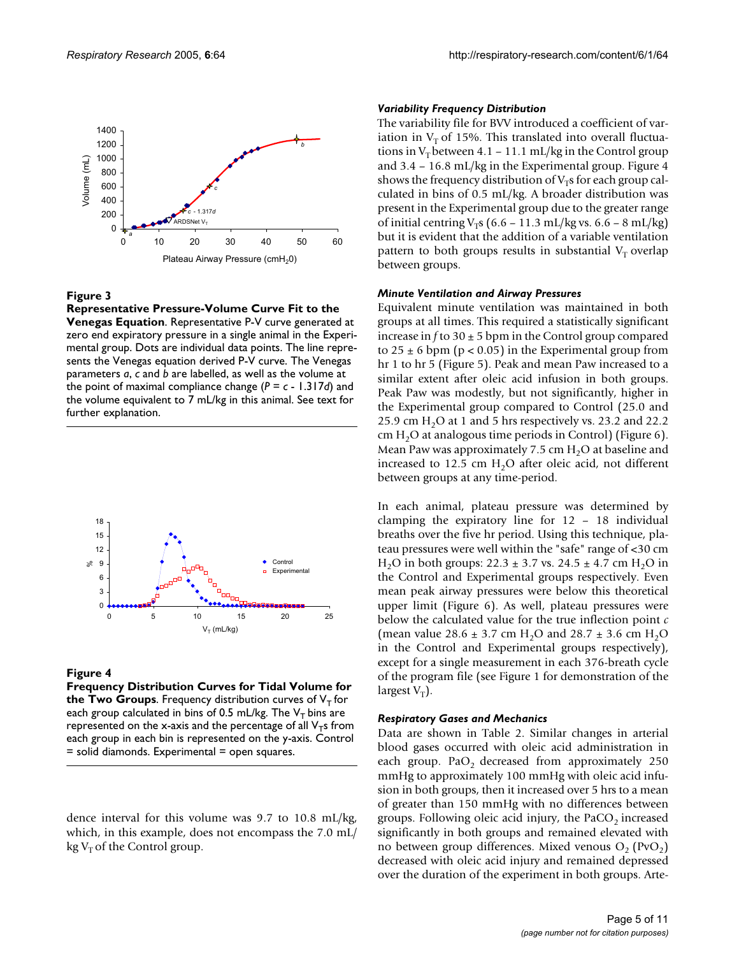

#### **Figure 3**

#### **Representative Pressure-Volume Curve Fit to the**

**Venegas Equation**. Representative P-V curve generated at zero end expiratory pressure in a single animal in the Experimental group. Dots are individual data points. The line represents the Venegas equation derived P-V curve. The Venegas parameters *a*, *c* and *b* are labelled, as well as the volume at the point of maximal compliance change  $(P = c - 1.317d)$  and the volume equivalent to 7 mL/kg in this animal. See text for further explanation.



#### Figure 4

**Frequency Distribution Curves for Tidal Volume for the Two Groups.** Frequency distribution curves of  $V<sub>T</sub>$  for each group calculated in bins of 0.5 mL/kg. The  $V<sub>T</sub>$  bins are represented on the x-axis and the percentage of all  $V<sub>T</sub>$ s from each group in each bin is represented on the y-axis. Control = solid diamonds. Experimental = open squares.

dence interval for this volume was 9.7 to 10.8 mL/kg, which, in this example, does not encompass the 7.0 mL/ kg  $V_T$  of the Control group.

#### *Variability Frequency Distribution*

The variability file for BVV introduced a coefficient of variation in  $V_T$  of 15%. This translated into overall fluctuations in V<sub>T</sub> between 4.1 – 11.1 mL/kg in the Control group and 3.4 – 16.8 mL/kg in the Experimental group. Figure 4 shows the frequency distribution of  $V_Ts$  for each group calculated in bins of 0.5 mL/kg. A broader distribution was present in the Experimental group due to the greater range of initial centring  $V_Ts$  (6.6 – 11.3 mL/kg vs. 6.6 – 8 mL/kg) but it is evident that the addition of a variable ventilation pattern to both groups results in substantial  $V_T$  overlap between groups.

#### *Minute Ventilation and Airway Pressures*

Equivalent minute ventilation was maintained in both groups at all times. This required a statistically significant increase in  $f$  to  $30 \pm 5$  bpm in the Control group compared to  $25 \pm 6$  bpm (p < 0.05) in the Experimental group from hr 1 to hr 5 (Figure [5\)](#page-5-0). Peak and mean Paw increased to a similar extent after oleic acid infusion in both groups. Peak Paw was modestly, but not significantly, higher in the Experimental group compared to Control (25.0 and 25.9 cm  $H_2O$  at 1 and 5 hrs respectively vs. 23.2 and 22.2 cm  $H_2O$  at analogous time periods in Control) (Figure [6\)](#page-5-1). Mean Paw was approximately 7.5 cm  $H_2O$  at baseline and increased to 12.5 cm  $H_2O$  after oleic acid, not different between groups at any time-period.

In each animal, plateau pressure was determined by clamping the expiratory line for 12 – 18 individual breaths over the five hr period. Using this technique, plateau pressures were well within the "safe" range of <30 cm  $H_2O$  in both groups: 22.3  $\pm$  3.7 vs. 24.5  $\pm$  4.7 cm H<sub>2</sub>O in the Control and Experimental groups respectively. Even mean peak airway pressures were below this theoretical upper limit (Figure [6\)](#page-5-1). As well, plateau pressures were below the calculated value for the true inflection point *c* (mean value 28.6  $\pm$  3.7 cm H<sub>2</sub>O and 28.7  $\pm$  3.6 cm H<sub>2</sub>O in the Control and Experimental groups respectively), except for a single measurement in each 376-breath cycle of the program file (see Figure 1 for demonstration of the largest  $V_T$ ).

#### *Respiratory Gases and Mechanics*

Data are shown in Table [2](#page-6-0). Similar changes in arterial blood gases occurred with oleic acid administration in each group.  $PaO<sub>2</sub>$  decreased from approximately 250 mmHg to approximately 100 mmHg with oleic acid infusion in both groups, then it increased over 5 hrs to a mean of greater than 150 mmHg with no differences between groups. Following oleic acid injury, the  $PaCO<sub>2</sub>$  increased significantly in both groups and remained elevated with no between group differences. Mixed venous  $O_2$  (PvO<sub>2</sub>) decreased with oleic acid injury and remained depressed over the duration of the experiment in both groups. Arte-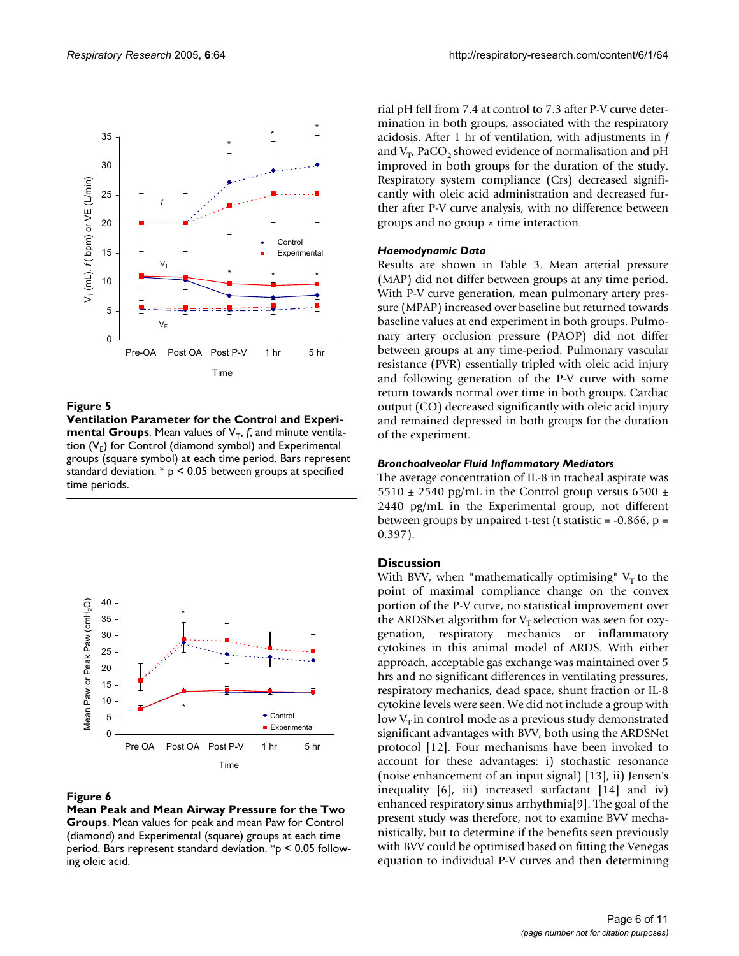<span id="page-5-0"></span>

## **Figure 5**

**Ventilation Parameter for the Control and Experimental Groups**. Mean values of  $V_T$ , *f*, and minute ventilation  $(V_F)$  for Control (diamond symbol) and Experimental groups (square symbol) at each time period. Bars represent standard deviation. \* p < 0.05 between groups at specified time periods.

<span id="page-5-1"></span>

## **Figure 6**

**Mean Peak and Mean Airway Pressure for the Two Groups**. Mean values for peak and mean Paw for Control (diamond) and Experimental (square) groups at each time period. Bars represent standard deviation. \*p < 0.05 following oleic acid.

rial pH fell from 7.4 at control to 7.3 after P-V curve determination in both groups, associated with the respiratory acidosis. After 1 hr of ventilation, with adjustments in *f* and  $V_T$ , PaCO<sub>2</sub> showed evidence of normalisation and pH improved in both groups for the duration of the study. Respiratory system compliance (Crs) decreased significantly with oleic acid administration and decreased further after P-V curve analysis, with no difference between groups and no group × time interaction.

## *Haemodynamic Data*

Results are shown in Table [3](#page-7-0). Mean arterial pressure (MAP) did not differ between groups at any time period. With P-V curve generation, mean pulmonary artery pressure (MPAP) increased over baseline but returned towards baseline values at end experiment in both groups. Pulmonary artery occlusion pressure (PAOP) did not differ between groups at any time-period. Pulmonary vascular resistance (PVR) essentially tripled with oleic acid injury and following generation of the P-V curve with some return towards normal over time in both groups. Cardiac output (CO) decreased significantly with oleic acid injury and remained depressed in both groups for the duration of the experiment.

#### *Bronchoalveolar Fluid Inflammatory Mediators*

The average concentration of IL-8 in tracheal aspirate was 5510  $\pm$  2540 pg/mL in the Control group versus 6500  $\pm$ 2440 pg/mL in the Experimental group, not different between groups by unpaired t-test (t statistic  $= -0.866$ ,  $p =$ 0.397).

## **Discussion**

With BVV, when "mathematically optimising"  $V_T$  to the point of maximal compliance change on the convex portion of the P-V curve, no statistical improvement over the ARDSNet algorithm for  $V_T$  selection was seen for oxygenation, respiratory mechanics or inflammatory cytokines in this animal model of ARDS. With either approach, acceptable gas exchange was maintained over 5 hrs and no significant differences in ventilating pressures, respiratory mechanics, dead space, shunt fraction or IL-8 cytokine levels were seen. We did not include a group with low  $V_T$  in control mode as a previous study demonstrated significant advantages with BVV, both using the ARDSNet protocol [12]. Four mechanisms have been invoked to account for these advantages: i) stochastic resonance (noise enhancement of an input signal) [13], ii) Jensen's inequality [6], iii) increased surfactant [14] and iv) enhanced respiratory sinus arrhythmia[9]. The goal of the present study was therefore, not to examine BVV mechanistically, but to determine if the benefits seen previously with BVV could be optimised based on fitting the Venegas equation to individual P-V curves and then determining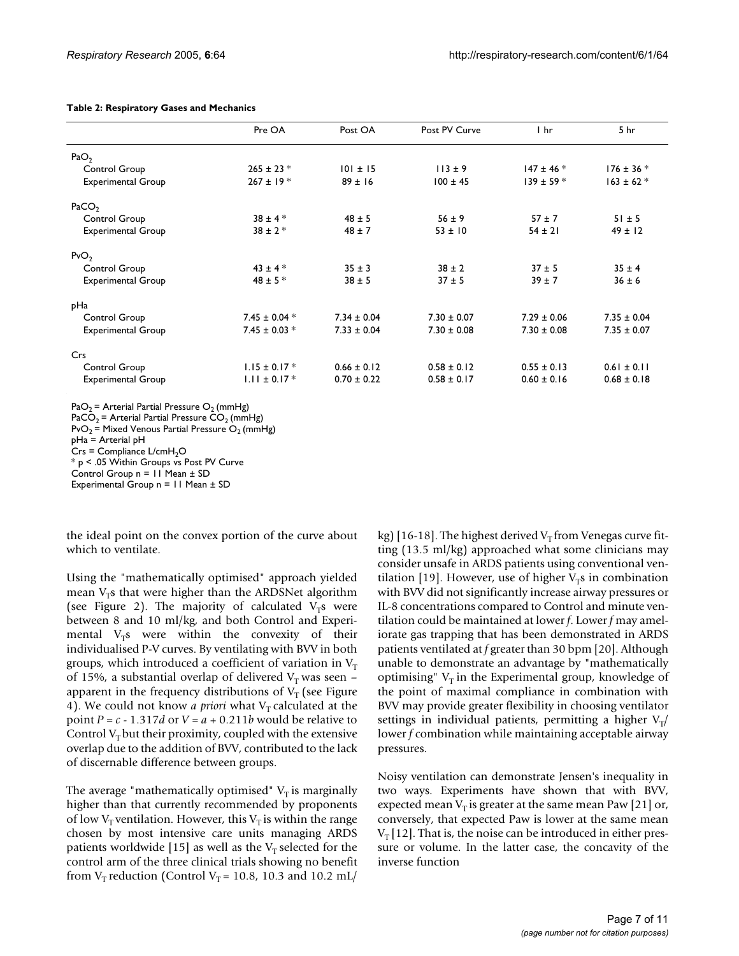<span id="page-6-0"></span>

|                           | Pre OA              | Post OA         | Post PV Curve   | $l$ hr          | 5 <sub>hr</sub> |
|---------------------------|---------------------|-----------------|-----------------|-----------------|-----------------|
| PaO <sub>2</sub>          |                     |                 |                 |                 |                 |
| Control Group             | $265 \pm 23$ *      | $101 \pm 15$    | $113 \pm 9$     | $147 \pm 46$ *  | $176 \pm 36$ *  |
| <b>Experimental Group</b> | $267 \pm 19$ *      | $89 \pm 16$     | $100 \pm 45$    | $139 \pm 59$ *  | $163 \pm 62$ *  |
| PaCO <sub>2</sub>         |                     |                 |                 |                 |                 |
| Control Group             | $38 \pm 4*$         | $48 \pm 5$      | $56 \pm 9$      | $57 \pm 7$      | $51 \pm 5$      |
| <b>Experimental Group</b> | $38 \pm 2$ *        | $48 \pm 7$      | $53 \pm 10$     | $54 \pm 21$     | $49 \pm 12$     |
| PvO <sub>2</sub>          |                     |                 |                 |                 |                 |
| Control Group             | $43 \pm 4$ *        | $35 \pm 3$      | $38 \pm 2$      | $37 + 5$        | $35 \pm 4$      |
| <b>Experimental Group</b> | $48 \pm 5$ *        | $38 \pm 5$      | $37 + 5$        | $39 \pm 7$      | $36 \pm 6$      |
| pHa                       |                     |                 |                 |                 |                 |
| Control Group             | 7.45 $\pm$ 0.04 $*$ | $7.34 \pm 0.04$ | $7.30 \pm 0.07$ | $7.29 \pm 0.06$ | $7.35 \pm 0.04$ |
| <b>Experimental Group</b> | $7.45 \pm 0.03$ *   | $7.33 \pm 0.04$ | $7.30 \pm 0.08$ | $7.30 \pm 0.08$ | $7.35 \pm 0.07$ |
| Crs                       |                     |                 |                 |                 |                 |
| Control Group             | $1.15 \pm 0.17$ *   | $0.66 \pm 0.12$ | $0.58 \pm 0.12$ | $0.55 \pm 0.13$ | $0.61 \pm 0.11$ |
| <b>Experimental Group</b> | $1.11 \pm 0.17$ *   | $0.70 \pm 0.22$ | $0.58 \pm 0.17$ | $0.60 \pm 0.16$ | $0.68 \pm 0.18$ |

 $PaO<sub>2</sub>$  = Arterial Partial Pressure  $O<sub>2</sub>$  (mmHg)

PaCO<sub>2</sub> = Arterial Partial Pressure CO<sub>2</sub> (mmHg)

 $PvO<sub>2</sub>$  = Mixed Venous Partial Pressure  $O<sub>2</sub>$  (mmHg)

pHa = Arterial pH

 $Crs =$  Compliance  $L/cmH<sub>2</sub>O$ \* p < .05 Within Groups vs Post PV Curve

Control Group n = 11 Mean ± SD

Experimental Group n = 11 Mean ± SD

the ideal point on the convex portion of the curve about which to ventilate.

Using the "mathematically optimised" approach yielded mean  $V_Ts$  that were higher than the ARDSNet algorithm (see Figure 2). The majority of calculated  $V_T$ s were between 8 and 10 ml/kg, and both Control and Experimental  $V_Ts$  were within the convexity of their individualised P-V curves. By ventilating with BVV in both groups, which introduced a coefficient of variation in  $V_T$ of 15%, a substantial overlap of delivered  $V_T$  was seen – apparent in the frequency distributions of  $V_T$  (see Figure 4). We could not know *a priori* what  $V_T$  calculated at the point *P* = *c* - 1.317*d* or *V* = *a* + 0.211*b* would be relative to Control  $V_T$  but their proximity, coupled with the extensive overlap due to the addition of BVV, contributed to the lack of discernable difference between groups.

The average "mathematically optimised"  $V_T$  is marginally higher than that currently recommended by proponents of low  $V_T$  ventilation. However, this  $V_T$  is within the range chosen by most intensive care units managing ARDS patients worldwide [15] as well as the  $V_T$  selected for the control arm of the three clinical trials showing no benefit from V<sub>T</sub> reduction (Control V<sub>T</sub> = 10.8, 10.3 and 10.2 mL/

kg) [16-18]. The highest derived  $V_T$  from Venegas curve fitting (13.5 ml/kg) approached what some clinicians may consider unsafe in ARDS patients using conventional ventilation [19]. However, use of higher  $V<sub>T</sub>s$  in combination with BVV did not significantly increase airway pressures or IL-8 concentrations compared to Control and minute ventilation could be maintained at lower *f*. Lower *f* may ameliorate gas trapping that has been demonstrated in ARDS patients ventilated at *f* greater than 30 bpm [20]. Although unable to demonstrate an advantage by "mathematically optimising"  $V_T$  in the Experimental group, knowledge of the point of maximal compliance in combination with BVV may provide greater flexibility in choosing ventilator settings in individual patients, permitting a higher  $V_T$ / lower *f* combination while maintaining acceptable airway pressures.

Noisy ventilation can demonstrate Jensen's inequality in two ways. Experiments have shown that with BVV, expected mean  $V_T$  is greater at the same mean Paw [21] or, conversely, that expected Paw is lower at the same mean  $V_T$ [12]. That is, the noise can be introduced in either pressure or volume. In the latter case, the concavity of the inverse function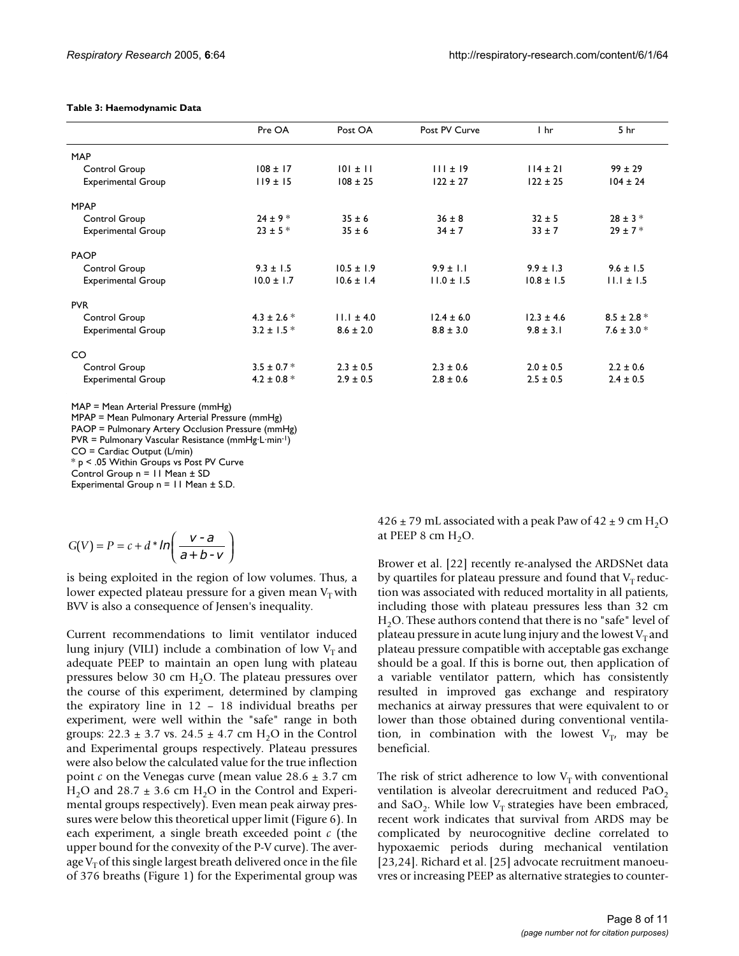#### <span id="page-7-0"></span>**Table 3: Haemodynamic Data**

|                           | Pre OA          | Post OA        | Post PV Curve  | $l$ hr         | 5 <sub>hr</sub> |
|---------------------------|-----------------|----------------|----------------|----------------|-----------------|
| <b>MAP</b>                |                 |                |                |                |                 |
| Control Group             | $108 \pm 17$    | $101 \pm 11$   | $111 \pm 19$   | $114 \pm 21$   | $99 \pm 29$     |
| <b>Experimental Group</b> | $119 \pm 15$    | $108 \pm 25$   | $122 \pm 27$   | $122 \pm 25$   | $104 \pm 24$    |
| <b>MPAP</b>               |                 |                |                |                |                 |
| Control Group             | $24 \pm 9$ *    | $35 \pm 6$     | $36 \pm 8$     | $32 \pm 5$     | $28 \pm 3$ *    |
| <b>Experimental Group</b> | $23 \pm 5$ *    | $35 \pm 6$     | $34 \pm 7$     | $33 \pm 7$     | $29 \pm 7*$     |
| <b>PAOP</b>               |                 |                |                |                |                 |
| Control Group             | $9.3 \pm 1.5$   | $10.5 \pm 1.9$ | $9.9 \pm 1.1$  | $9.9 \pm 1.3$  | $9.6 \pm 1.5$   |
| <b>Experimental Group</b> | $10.0 \pm 1.7$  | $10.6 \pm 1.4$ | $11.0 \pm 1.5$ | $10.8 \pm 1.5$ | $11.1 \pm 1.5$  |
| <b>PVR</b>                |                 |                |                |                |                 |
| Control Group             | $4.3 \pm 2.6$ * | $11.1 \pm 4.0$ | $12.4 \pm 6.0$ | $12.3 \pm 4.6$ | $8.5 \pm 2.8$ * |
| <b>Experimental Group</b> | $3.2 \pm 1.5$ * | $8.6 \pm 2.0$  | $8.8 \pm 3.0$  | $9.8 \pm 3.1$  | $7.6 \pm 3.0$ * |
| CO                        |                 |                |                |                |                 |
| Control Group             | $3.5 \pm 0.7$ * | $2.3 \pm 0.5$  | $2.3 \pm 0.6$  | $2.0 \pm 0.5$  | $2.2 \pm 0.6$   |
| <b>Experimental Group</b> | $4.2 \pm 0.8$ * | $2.9 \pm 0.5$  | $2.8 \pm 0.6$  | $2.5 \pm 0.5$  | $2.4 \pm 0.5$   |

MAP = Mean Arterial Pressure (mmHg)

MPAP = Mean Pulmonary Arterial Pressure (mmHg)

PAOP = Pulmonary Artery Occlusion Pressure (mmHg)

PVR = Pulmonary Vascular Resistance (mmHg·L·min-1)

CO = Cardiac Output (L/min)

\* p < .05 Within Groups vs Post PV Curve Control Group n = 11 Mean ± SD

Experimental Group n = 11 Mean ± S.D.

$$
G(V) = P = c + d * ln\left(\frac{v - a}{a + b - v}\right)
$$

is being exploited in the region of low volumes. Thus, a lower expected plateau pressure for a given mean  $V<sub>T</sub>$  with BVV is also a consequence of Jensen's inequality.

Current recommendations to limit ventilator induced lung injury (VILI) include a combination of low  $V_T$  and adequate PEEP to maintain an open lung with plateau pressures below 30 cm  $H_2O$ . The plateau pressures over the course of this experiment, determined by clamping the expiratory line in 12 – 18 individual breaths per experiment, were well within the "safe" range in both groups:  $22.3 \pm 3.7$  vs.  $24.5 \pm 4.7$  cm H<sub>2</sub>O in the Control and Experimental groups respectively. Plateau pressures were also below the calculated value for the true inflection point *c* on the Venegas curve (mean value  $28.6 \pm 3.7$  cm  $H_2O$  and 28.7  $\pm$  3.6 cm  $H_2O$  in the Control and Experimental groups respectively). Even mean peak airway pressures were below this theoretical upper limit (Figure [6\)](#page-5-1). In each experiment, a single breath exceeded point *c* (the upper bound for the convexity of the P-V curve). The average  $V<sub>T</sub>$  of this single largest breath delivered once in the file of 376 breaths (Figure 1) for the Experimental group was

 $426 \pm 79$  mL associated with a peak Paw of  $42 \pm 9$  cm H<sub>2</sub>O at PEEP  $8 \text{ cm } H_2O$ .

Brower et al. [22] recently re-analysed the ARDSNet data by quartiles for plateau pressure and found that  $V<sub>T</sub>$  reduction was associated with reduced mortality in all patients, including those with plateau pressures less than 32 cm  $H<sub>2</sub>O$ . These authors contend that there is no "safe" level of plateau pressure in acute lung injury and the lowest  $V_T$  and plateau pressure compatible with acceptable gas exchange should be a goal. If this is borne out, then application of a variable ventilator pattern, which has consistently resulted in improved gas exchange and respiratory mechanics at airway pressures that were equivalent to or lower than those obtained during conventional ventilation, in combination with the lowest  $V_T$ , may be beneficial.

The risk of strict adherence to low  $V_T$  with conventional ventilation is alveolar derecruitment and reduced  $PaO<sub>2</sub>$ and SaO<sub>2</sub>. While low V<sub>T</sub> strategies have been embraced, recent work indicates that survival from ARDS may be complicated by neurocognitive decline correlated to hypoxaemic periods during mechanical ventilation [23,24]. Richard et al. [25] advocate recruitment manoeuvres or increasing PEEP as alternative strategies to counter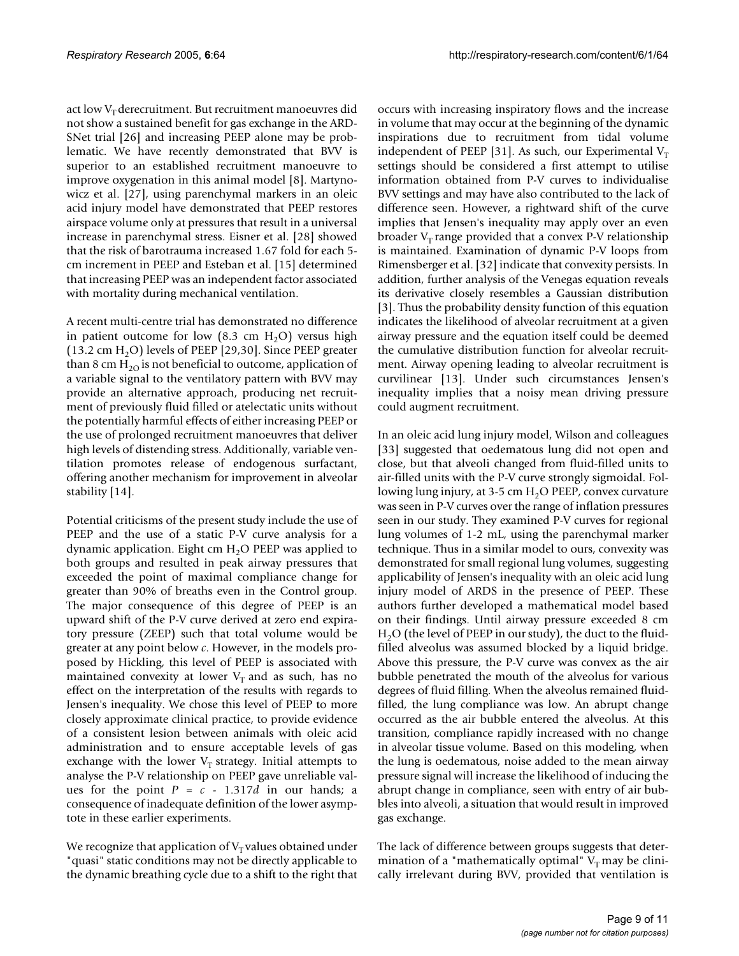act low  $V_T$  derecruitment. But recruitment manoeuvres did not show a sustained benefit for gas exchange in the ARD-SNet trial [26] and increasing PEEP alone may be problematic. We have recently demonstrated that BVV is superior to an established recruitment manoeuvre to improve oxygenation in this animal model [8]. Martynowicz et al. [27], using parenchymal markers in an oleic acid injury model have demonstrated that PEEP restores airspace volume only at pressures that result in a universal increase in parenchymal stress. Eisner et al. [28] showed that the risk of barotrauma increased 1.67 fold for each 5 cm increment in PEEP and Esteban et al. [15] determined that increasing PEEP was an independent factor associated with mortality during mechanical ventilation.

A recent multi-centre trial has demonstrated no difference in patient outcome for low (8.3 cm  $H_2O$ ) versus high (13.2 cm  $H_2O$ ) levels of PEEP [29,30]. Since PEEP greater than 8 cm  $H_{2O}$  is not beneficial to outcome, application of a variable signal to the ventilatory pattern with BVV may provide an alternative approach, producing net recruitment of previously fluid filled or atelectatic units without the potentially harmful effects of either increasing PEEP or the use of prolonged recruitment manoeuvres that deliver high levels of distending stress. Additionally, variable ventilation promotes release of endogenous surfactant, offering another mechanism for improvement in alveolar stability [14].

Potential criticisms of the present study include the use of PEEP and the use of a static P-V curve analysis for a dynamic application. Eight cm  $H_2O$  PEEP was applied to both groups and resulted in peak airway pressures that exceeded the point of maximal compliance change for greater than 90% of breaths even in the Control group. The major consequence of this degree of PEEP is an upward shift of the P-V curve derived at zero end expiratory pressure (ZEEP) such that total volume would be greater at any point below *c*. However, in the models proposed by Hickling, this level of PEEP is associated with maintained convexity at lower  $V_T$  and as such, has no effect on the interpretation of the results with regards to Jensen's inequality. We chose this level of PEEP to more closely approximate clinical practice, to provide evidence of a consistent lesion between animals with oleic acid administration and to ensure acceptable levels of gas exchange with the lower  $V_T$  strategy. Initial attempts to analyse the P-V relationship on PEEP gave unreliable values for the point  $P = c - 1.317d$  in our hands; a consequence of inadequate definition of the lower asymptote in these earlier experiments.

We recognize that application of  $V_T$  values obtained under "quasi" static conditions may not be directly applicable to the dynamic breathing cycle due to a shift to the right that

occurs with increasing inspiratory flows and the increase in volume that may occur at the beginning of the dynamic inspirations due to recruitment from tidal volume independent of PEEP [31]. As such, our Experimental  $V_T$ settings should be considered a first attempt to utilise information obtained from P-V curves to individualise BVV settings and may have also contributed to the lack of difference seen. However, a rightward shift of the curve implies that Jensen's inequality may apply over an even broader  $V_T$  range provided that a convex P-V relationship is maintained. Examination of dynamic P-V loops from Rimensberger et al. [32] indicate that convexity persists. In addition, further analysis of the Venegas equation reveals its derivative closely resembles a Gaussian distribution [3]. Thus the probability density function of this equation indicates the likelihood of alveolar recruitment at a given airway pressure and the equation itself could be deemed the cumulative distribution function for alveolar recruitment. Airway opening leading to alveolar recruitment is curvilinear [13]. Under such circumstances Jensen's inequality implies that a noisy mean driving pressure could augment recruitment.

In an oleic acid lung injury model, Wilson and colleagues [33] suggested that oedematous lung did not open and close, but that alveoli changed from fluid-filled units to air-filled units with the P-V curve strongly sigmoidal. Following lung injury, at 3-5 cm  $H_2O$  PEEP, convex curvature was seen in P-V curves over the range of inflation pressures seen in our study. They examined P-V curves for regional lung volumes of 1-2 mL, using the parenchymal marker technique. Thus in a similar model to ours, convexity was demonstrated for small regional lung volumes, suggesting applicability of Jensen's inequality with an oleic acid lung injury model of ARDS in the presence of PEEP. These authors further developed a mathematical model based on their findings. Until airway pressure exceeded 8 cm  $H<sub>2</sub>O$  (the level of PEEP in our study), the duct to the fluidfilled alveolus was assumed blocked by a liquid bridge. Above this pressure, the P-V curve was convex as the air bubble penetrated the mouth of the alveolus for various degrees of fluid filling. When the alveolus remained fluidfilled, the lung compliance was low. An abrupt change occurred as the air bubble entered the alveolus. At this transition, compliance rapidly increased with no change in alveolar tissue volume. Based on this modeling, when the lung is oedematous, noise added to the mean airway pressure signal will increase the likelihood of inducing the abrupt change in compliance, seen with entry of air bubbles into alveoli, a situation that would result in improved gas exchange.

The lack of difference between groups suggests that determination of a "mathematically optimal"  $V_T$  may be clinically irrelevant during BVV, provided that ventilation is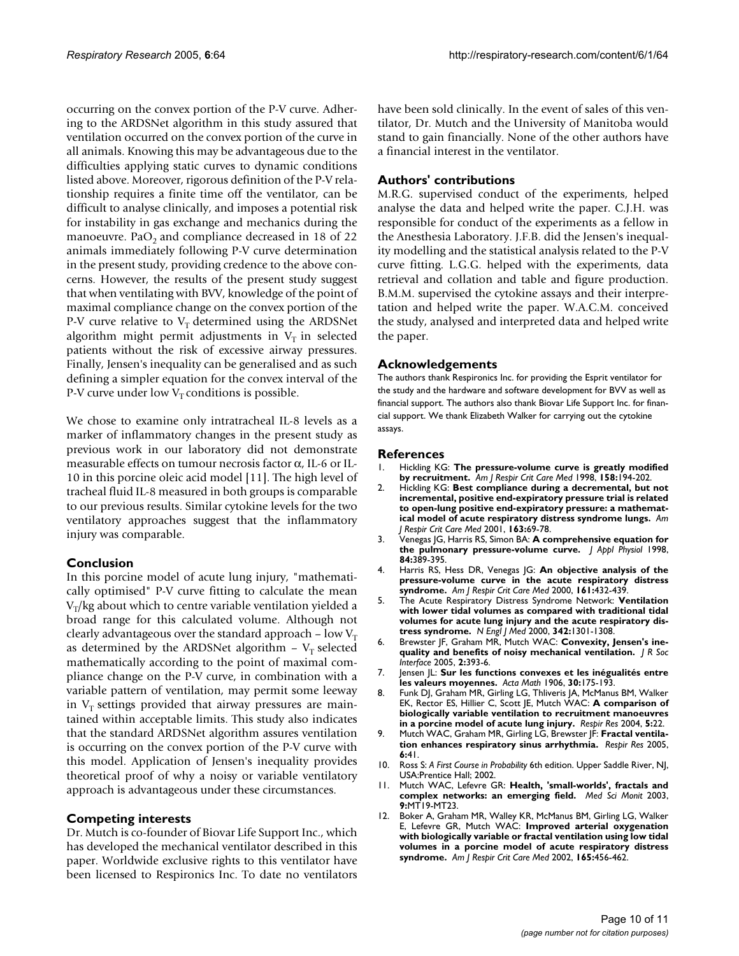occurring on the convex portion of the P-V curve. Adhering to the ARDSNet algorithm in this study assured that ventilation occurred on the convex portion of the curve in all animals. Knowing this may be advantageous due to the difficulties applying static curves to dynamic conditions listed above. Moreover, rigorous definition of the P-V relationship requires a finite time off the ventilator, can be difficult to analyse clinically, and imposes a potential risk for instability in gas exchange and mechanics during the manoeuvre. Pa $O<sub>2</sub>$  and compliance decreased in 18 of 22 animals immediately following P-V curve determination in the present study, providing credence to the above concerns. However, the results of the present study suggest that when ventilating with BVV, knowledge of the point of maximal compliance change on the convex portion of the P-V curve relative to  $V_T$  determined using the ARDSNet algorithm might permit adjustments in  $V_T$  in selected patients without the risk of excessive airway pressures. Finally, Jensen's inequality can be generalised and as such defining a simpler equation for the convex interval of the P-V curve under low  $V_T$  conditions is possible.

We chose to examine only intratracheal IL-8 levels as a marker of inflammatory changes in the present study as previous work in our laboratory did not demonstrate measurable effects on tumour necrosis factor α, IL-6 or IL-10 in this porcine oleic acid model [11]. The high level of tracheal fluid IL-8 measured in both groups is comparable to our previous results. Similar cytokine levels for the two ventilatory approaches suggest that the inflammatory injury was comparable.

# **Conclusion**

In this porcine model of acute lung injury, "mathematically optimised" P-V curve fitting to calculate the mean  $V_T$ /kg about which to centre variable ventilation yielded a broad range for this calculated volume. Although not clearly advantageous over the standard approach – low  $V_T$ as determined by the ARDSNet algorithm  $-V_T$  selected mathematically according to the point of maximal compliance change on the P-V curve, in combination with a variable pattern of ventilation, may permit some leeway in  $V_T$  settings provided that airway pressures are maintained within acceptable limits. This study also indicates that the standard ARDSNet algorithm assures ventilation is occurring on the convex portion of the P-V curve with this model. Application of Jensen's inequality provides theoretical proof of why a noisy or variable ventilatory approach is advantageous under these circumstances.

# **Competing interests**

Dr. Mutch is co-founder of Biovar Life Support Inc., which has developed the mechanical ventilator described in this paper. Worldwide exclusive rights to this ventilator have been licensed to Respironics Inc. To date no ventilators have been sold clinically. In the event of sales of this ventilator, Dr. Mutch and the University of Manitoba would stand to gain financially. None of the other authors have a financial interest in the ventilator.

# **Authors' contributions**

M.R.G. supervised conduct of the experiments, helped analyse the data and helped write the paper. C.J.H. was responsible for conduct of the experiments as a fellow in the Anesthesia Laboratory. J.F.B. did the Jensen's inequality modelling and the statistical analysis related to the P-V curve fitting. L.G.G. helped with the experiments, data retrieval and collation and table and figure production. B.M.M. supervised the cytokine assays and their interpretation and helped write the paper. W.A.C.M. conceived the study, analysed and interpreted data and helped write the paper.

# **Acknowledgements**

The authors thank Respironics Inc. for providing the Esprit ventilator for the study and the hardware and software development for BVV as well as financial support. The authors also thank Biovar Life Support Inc. for financial support. We thank Elizabeth Walker for carrying out the cytokine assays.

# **References**

- 1. Hickling KG: **[The pressure-volume curve is greatly modified](http://www.ncbi.nlm.nih.gov/entrez/query.fcgi?cmd=Retrieve&db=PubMed&dopt=Abstract&list_uids=9655729) [by recruitment.](http://www.ncbi.nlm.nih.gov/entrez/query.fcgi?cmd=Retrieve&db=PubMed&dopt=Abstract&list_uids=9655729)** *Am J Respir Crit Care Med* 1998, **158:**194-202.
- 2. Hickling KG: **[Best compliance during a decremental, but not](http://www.ncbi.nlm.nih.gov/entrez/query.fcgi?cmd=Retrieve&db=PubMed&dopt=Abstract&list_uids=11208628) [incremental, positive end-expiratory pressure trial is related](http://www.ncbi.nlm.nih.gov/entrez/query.fcgi?cmd=Retrieve&db=PubMed&dopt=Abstract&list_uids=11208628) to open-lung positive end-expiratory pressure: a mathemat[ical model of acute respiratory distress syndrome lungs.](http://www.ncbi.nlm.nih.gov/entrez/query.fcgi?cmd=Retrieve&db=PubMed&dopt=Abstract&list_uids=11208628)** *Am J Respir Crit Care Med* 2001, **163:**69-78.
- 3. Venegas JG, Harris RS, Simon BA: **[A comprehensive equation for](http://www.ncbi.nlm.nih.gov/entrez/query.fcgi?cmd=Retrieve&db=PubMed&dopt=Abstract&list_uids=9451661) [the pulmonary pressure-volume curve.](http://www.ncbi.nlm.nih.gov/entrez/query.fcgi?cmd=Retrieve&db=PubMed&dopt=Abstract&list_uids=9451661)** *J Appl Physiol* 1998, **84:**389-395.
- 4. Harris RS, Hess DR, Venegas JG: **[An objective analysis of the](http://www.ncbi.nlm.nih.gov/entrez/query.fcgi?cmd=Retrieve&db=PubMed&dopt=Abstract&list_uids=10673182) [pressure-volume curve in the acute respiratory distress](http://www.ncbi.nlm.nih.gov/entrez/query.fcgi?cmd=Retrieve&db=PubMed&dopt=Abstract&list_uids=10673182) [syndrome.](http://www.ncbi.nlm.nih.gov/entrez/query.fcgi?cmd=Retrieve&db=PubMed&dopt=Abstract&list_uids=10673182)** *Am J Respir Crit Care Med* 2000, **161:**432-439.
- 5. The Acute Respiratory Distress Syndrome Network: **[Ventilation](http://www.ncbi.nlm.nih.gov/entrez/query.fcgi?cmd=Retrieve&db=PubMed&dopt=Abstract&list_uids=10793162) with lower tidal volumes as compared with traditional tidal [volumes for acute lung injury and the acute respiratory dis](http://www.ncbi.nlm.nih.gov/entrez/query.fcgi?cmd=Retrieve&db=PubMed&dopt=Abstract&list_uids=10793162)[tress syndrome.](http://www.ncbi.nlm.nih.gov/entrez/query.fcgi?cmd=Retrieve&db=PubMed&dopt=Abstract&list_uids=10793162)** *N Engl J Med* 2000, **342:**1301-1308.
- 6. Brewster JF, Graham MR, Mutch WAC: **Convexity, Jensen's inequality and benefits of noisy mechanical ventilation.** *J R Soc Interface* 2005, **2:**393-6.
- 7. Jensen JL: **Sur les functions convexes et les inégualités entre les valeurs moyennes.** *Acta Math* 1906, **30:**175-193.
- 8. Funk DJ, Graham MR, Girling LG, Thliveris JA, McManus BM, Walker EK, Rector ES, Hillier C, Scott JE, Mutch WAC: **[A comparison of](http://www.ncbi.nlm.nih.gov/entrez/query.fcgi?cmd=Retrieve&db=PubMed&dopt=Abstract&list_uids=15563376) [biologically variable ventilation to recruitment manoeuvres](http://www.ncbi.nlm.nih.gov/entrez/query.fcgi?cmd=Retrieve&db=PubMed&dopt=Abstract&list_uids=15563376) [in a porcine model of acute lung injury.](http://www.ncbi.nlm.nih.gov/entrez/query.fcgi?cmd=Retrieve&db=PubMed&dopt=Abstract&list_uids=15563376)** *Respir Res* 2004, **5:**22.
- 9. Mutch WAC, Graham MR, Girling LG, Brewster JF: **[Fractal ventila](http://www.ncbi.nlm.nih.gov/entrez/query.fcgi?cmd=Retrieve&db=PubMed&dopt=Abstract&list_uids=15882460)[tion enhances respiratory sinus arrhythmia.](http://www.ncbi.nlm.nih.gov/entrez/query.fcgi?cmd=Retrieve&db=PubMed&dopt=Abstract&list_uids=15882460)** *Respir Res* 2005, **6:**41.
- 10. Ross S: *A First Course in Probability* 6th edition. Upper Saddle River, NJ, USA:Prentice Hall; 2002.
- 11. Mutch WAC, Lefevre GR: **[Health, 'small-worlds', fractals and](http://www.ncbi.nlm.nih.gov/entrez/query.fcgi?cmd=Retrieve&db=PubMed&dopt=Abstract&list_uids=12761464) [complex networks: an emerging field.](http://www.ncbi.nlm.nih.gov/entrez/query.fcgi?cmd=Retrieve&db=PubMed&dopt=Abstract&list_uids=12761464)** *Med Sci Monit* 2003, **9:**MT19-MT23.
- 12. Boker A, Graham MR, Walley KR, McManus BM, Girling LG, Walker E, Lefevre GR, Mutch WAC: **[Improved arterial oxygenation](http://www.ncbi.nlm.nih.gov/entrez/query.fcgi?cmd=Retrieve&db=PubMed&dopt=Abstract&list_uids=11850336) with biologically variable or fractal ventilation using low tidal [volumes in a porcine model of acute respiratory distress](http://www.ncbi.nlm.nih.gov/entrez/query.fcgi?cmd=Retrieve&db=PubMed&dopt=Abstract&list_uids=11850336) [syndrome.](http://www.ncbi.nlm.nih.gov/entrez/query.fcgi?cmd=Retrieve&db=PubMed&dopt=Abstract&list_uids=11850336)** *Am J Respir Crit Care Med* 2002, **165:**456-462.